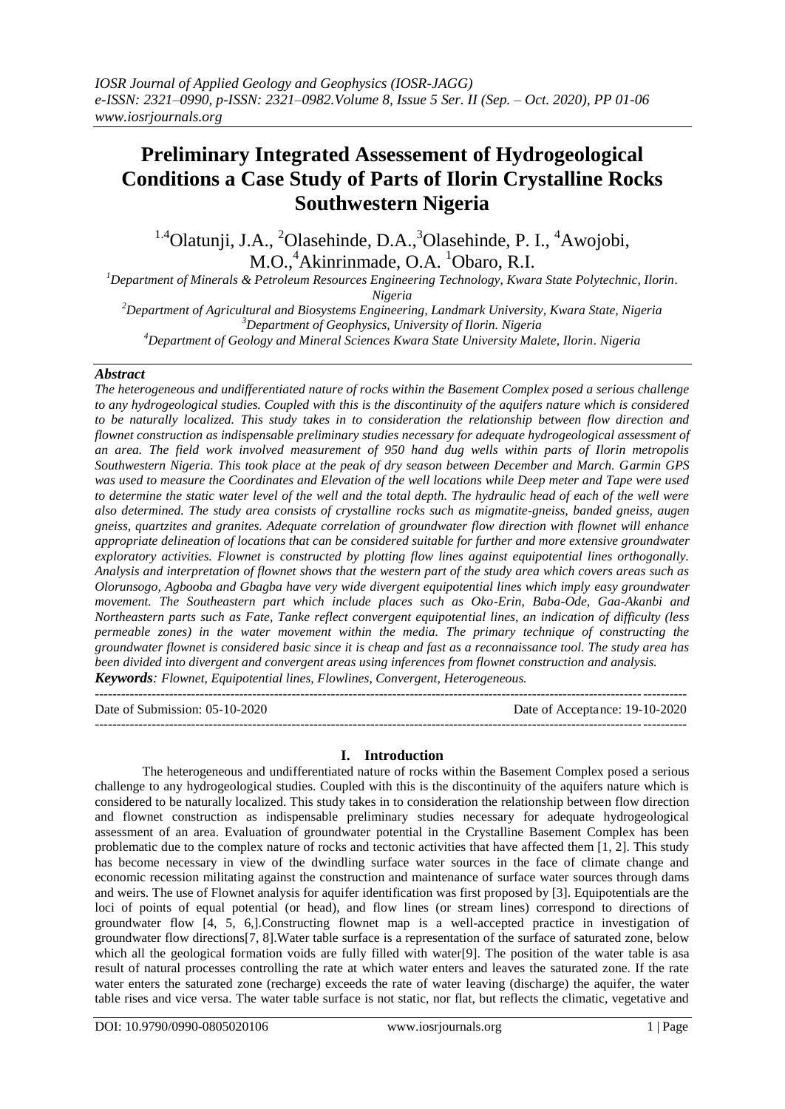# **Preliminary Integrated Assessement of Hydrogeological Conditions a Case Study of Parts of Ilorin Crystalline Rocks Southwestern Nigeria**

<sup>1.4</sup>Olatunji, J.A., <sup>2</sup>Olasehinde, D.A., <sup>3</sup>Olasehinde, P. I., <sup>4</sup>Awojobi, M.O.,<sup>4</sup>Akinrinmade, O.A. <sup>1</sup>Obaro, R.I.

*<sup>1</sup>Department of Minerals & Petroleum Resources Engineering Technology, Kwara State Polytechnic, Ilorin. Nigeria*

*<sup>2</sup>Department of Agricultural and Biosystems Engineering, Landmark University, Kwara State, Nigeria <sup>3</sup>Department of Geophysics, University of Ilorin. Nigeria <sup>4</sup>Department of Geology and Mineral Sciences Kwara State University Malete, Ilorin. Nigeria*

# *Abstract*

*The heterogeneous and undifferentiated nature of rocks within the Basement Complex posed a serious challenge to any hydrogeological studies. Coupled with this is the discontinuity of the aquifers nature which is considered to be naturally localized. This study takes in to consideration the relationship between flow direction and flownet construction as indispensable preliminary studies necessary for adequate hydrogeological assessment of an area. The field work involved measurement of 950 hand dug wells within parts of Ilorin metropolis Southwestern Nigeria. This took place at the peak of dry season between December and March. Garmin GPS was used to measure the Coordinates and Elevation of the well locations while Deep meter and Tape were used*  to determine the static water level of the well and the total depth. The hydraulic head of each of the well were *also determined. The study area consists of crystalline rocks such as migmatite-gneiss, banded gneiss, augen gneiss, quartzites and granites. Adequate correlation of groundwater flow direction with flownet will enhance appropriate delineation of locations that can be considered suitable for further and more extensive groundwater exploratory activities. Flownet is constructed by plotting flow lines against equipotential lines orthogonally. Analysis and interpretation of flownet shows that the western part of the study area which covers areas such as Olorunsogo, Agbooba and Gbagba have very wide divergent equipotential lines which imply easy groundwater movement. The Southeastern part which include places such as Oko-Erin, Baba-Ode, Gaa-Akanbi and Northeastern parts such as Fate, Tanke reflect convergent equipotential lines, an indication of difficulty (less permeable zones) in the water movement within the media. The primary technique of constructing the groundwater flownet is considered basic since it is cheap and fast as a reconnaissance tool. The study area has been divided into divergent and convergent areas using inferences from flownet construction and analysis. Keywords: Flownet, Equipotential lines, Flowlines, Convergent, Heterogeneous.* 

Date of Submission: 05-10-2020 Date of Acceptance: 19-10-2020 ---------------------------------------------------------------------------------------------------------------------------------------

# **I. Introduction**

 $-1.1$ 

The heterogeneous and undifferentiated nature of rocks within the Basement Complex posed a serious challenge to any hydrogeological studies. Coupled with this is the discontinuity of the aquifers nature which is considered to be naturally localized. This study takes in to consideration the relationship between flow direction and flownet construction as indispensable preliminary studies necessary for adequate hydrogeological assessment of an area. Evaluation of groundwater potential in the Crystalline Basement Complex has been problematic due to the complex nature of rocks and tectonic activities that have affected them [1, 2]. This study has become necessary in view of the dwindling surface water sources in the face of climate change and economic recession militating against the construction and maintenance of surface water sources through dams and weirs. The use of Flownet analysis for aquifer identification was first proposed by [3]. Equipotentials are the loci of points of equal potential (or head), and flow lines (or stream lines) correspond to directions of groundwater flow [4, 5, 6,].Constructing flownet map is a well-accepted practice in investigation of groundwater flow directions[7, 8].Water table surface is a representation of the surface of saturated zone, below which all the geological formation voids are fully filled with water[9]. The position of the water table is asa result of natural processes controlling the rate at which water enters and leaves the saturated zone. If the rate water enters the saturated zone (recharge) exceeds the rate of water leaving (discharge) the aquifer, the water table rises and vice versa. The water table surface is not static, nor flat, but reflects the climatic, vegetative and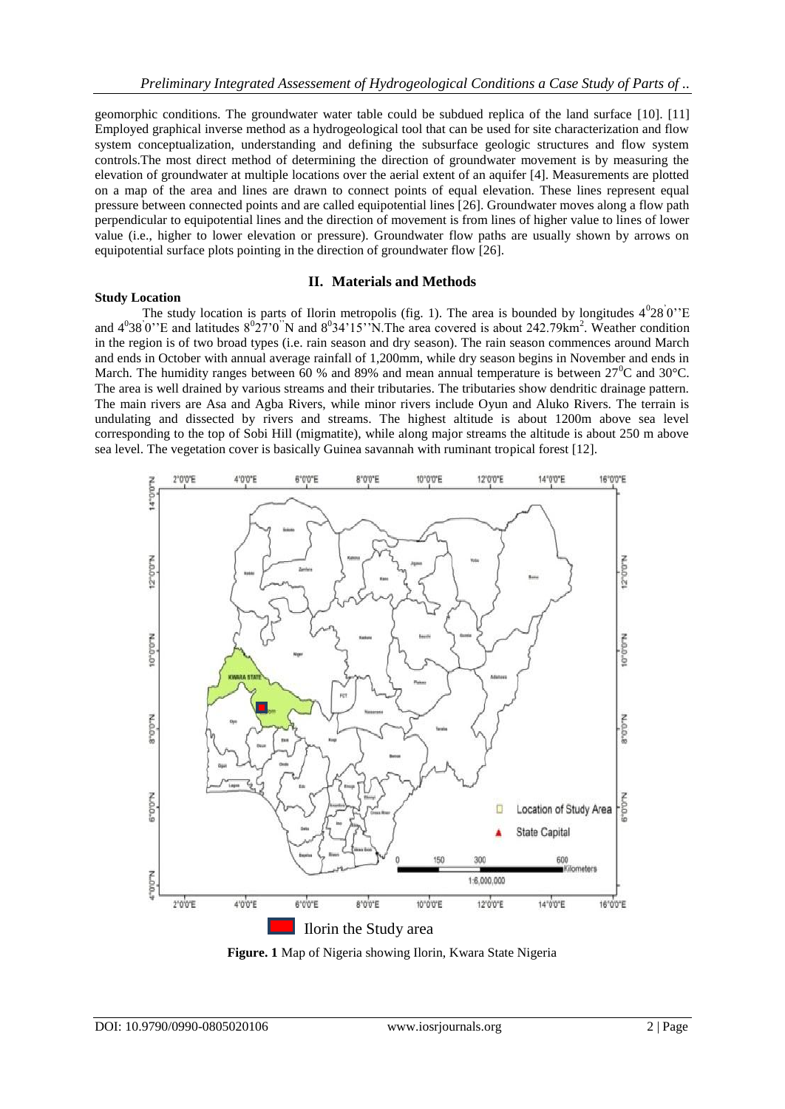geomorphic conditions. The groundwater water table could be subdued replica of the land surface [10]. [11] Employed graphical inverse method as a hydrogeological tool that can be used for site characterization and flow system conceptualization, understanding and defining the subsurface geologic structures and flow system controls.The most direct method of determining the direction of groundwater movement is by measuring the elevation of groundwater at multiple locations over the aerial extent of an aquifer [4]. Measurements are plotted on a map of the area and lines are drawn to connect points of equal elevation. These lines represent equal pressure between connected points and are called equipotential lines [26]. Groundwater moves along a flow path perpendicular to equipotential lines and the direction of movement is from lines of higher value to lines of lower value (i.e., higher to lower elevation or pressure). Groundwater flow paths are usually shown by arrows on equipotential surface plots pointing in the direction of groundwater flow [26].

# **II. Materials and Methods**

The study location is parts of Ilorin metropolis (fig. 1). The area is bounded by longitudes  $4^028^0$ "E and  $4^038^0$ "E and latitudes  $8^027^0$ "N and  $8^034'15$ "N. The area covered is about 242.79km<sup>2</sup>. Weather condition in the region is of two broad types (i.e. rain season and dry season). The rain season commences around March and ends in October with annual average rainfall of 1,200mm, while dry season begins in November and ends in March. The humidity ranges between 60 % and 89% and mean annual temperature is between  $27^{\circ}$ C and  $30^{\circ}$ C. The area is well drained by various streams and their tributaries. The tributaries show dendritic drainage pattern. The main rivers are Asa and Agba Rivers, while minor rivers include Oyun and Aluko Rivers. The terrain is undulating and dissected by rivers and streams. The highest altitude is about 1200m above sea level corresponding to the top of Sobi Hill (migmatite), while along major streams the altitude is about 250 m above sea level. The vegetation cover is basically Guinea savannah with ruminant tropical forest [12].



**Figure. 1** Map of Nigeria showing Ilorin, Kwara State Nigeria

**Study Location**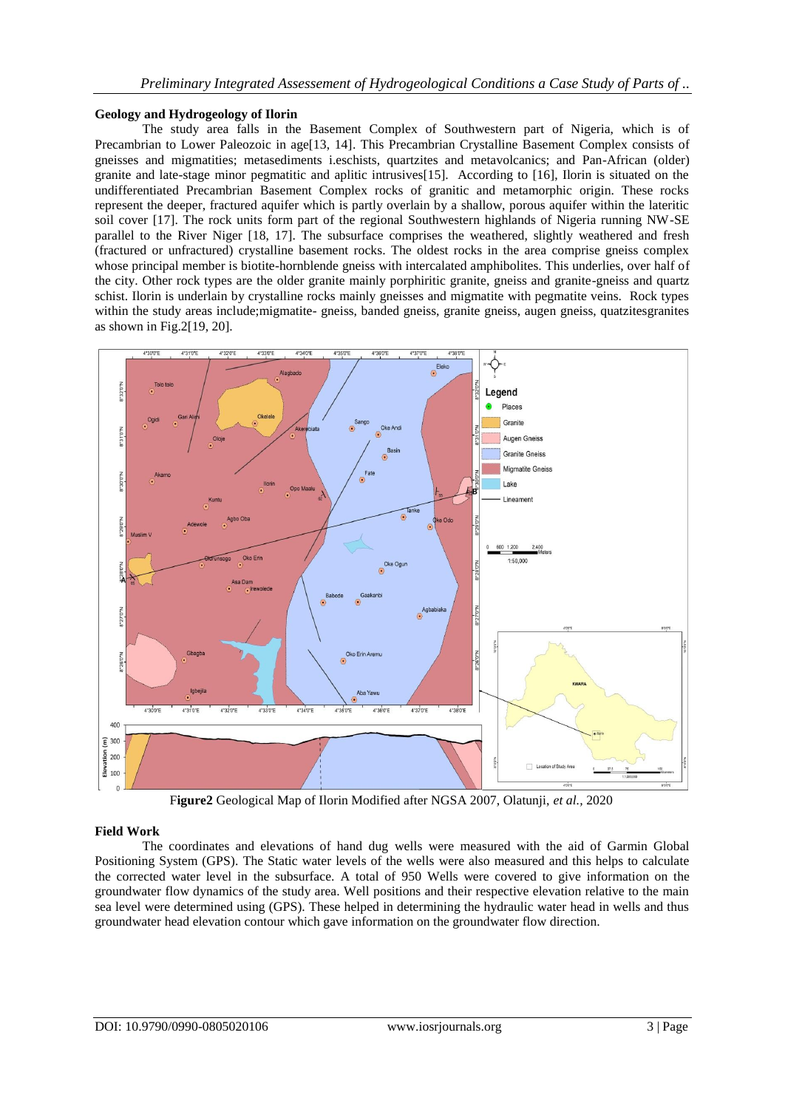## **Geology and Hydrogeology of Ilorin**

The study area falls in the Basement Complex of Southwestern part of Nigeria, which is of Precambrian to Lower Paleozoic in age<sup>[13, 14]</sup>. This Precambrian Crystalline Basement Complex consists of gneisses and migmatities; metasediments i.eschists, quartzites and metavolcanics; and Pan-African (older) granite and late-stage minor pegmatitic and aplitic intrusives[15]. According to [16], Ilorin is situated on the undifferentiated Precambrian Basement Complex rocks of granitic and metamorphic origin. These rocks represent the deeper, fractured aquifer which is partly overlain by a shallow, porous aquifer within the lateritic soil cover [17]. The rock units form part of the regional Southwestern highlands of Nigeria running NW-SE parallel to the River Niger [18, 17]. The subsurface comprises the weathered, slightly weathered and fresh (fractured or unfractured) crystalline basement rocks. The oldest rocks in the area comprise gneiss complex whose principal member is biotite-hornblende gneiss with intercalated amphibolites. This underlies, over half of the city. Other rock types are the older granite mainly porphiritic granite, gneiss and granite-gneiss and quartz schist. Ilorin is underlain by crystalline rocks mainly gneisses and migmatite with pegmatite veins. Rock types within the study areas include;migmatite- gneiss, banded gneiss, granite gneiss, augen gneiss, quatzitesgranites as shown in Fig.2[19, 20].



F**igure2** Geological Map of Ilorin Modified after NGSA 2007, Olatunji, *et al.,* 2020

# **Field Work**

The coordinates and elevations of hand dug wells were measured with the aid of Garmin Global Positioning System (GPS). The Static water levels of the wells were also measured and this helps to calculate the corrected water level in the subsurface. A total of 950 Wells were covered to give information on the groundwater flow dynamics of the study area. Well positions and their respective elevation relative to the main sea level were determined using (GPS). These helped in determining the hydraulic water head in wells and thus groundwater head elevation contour which gave information on the groundwater flow direction.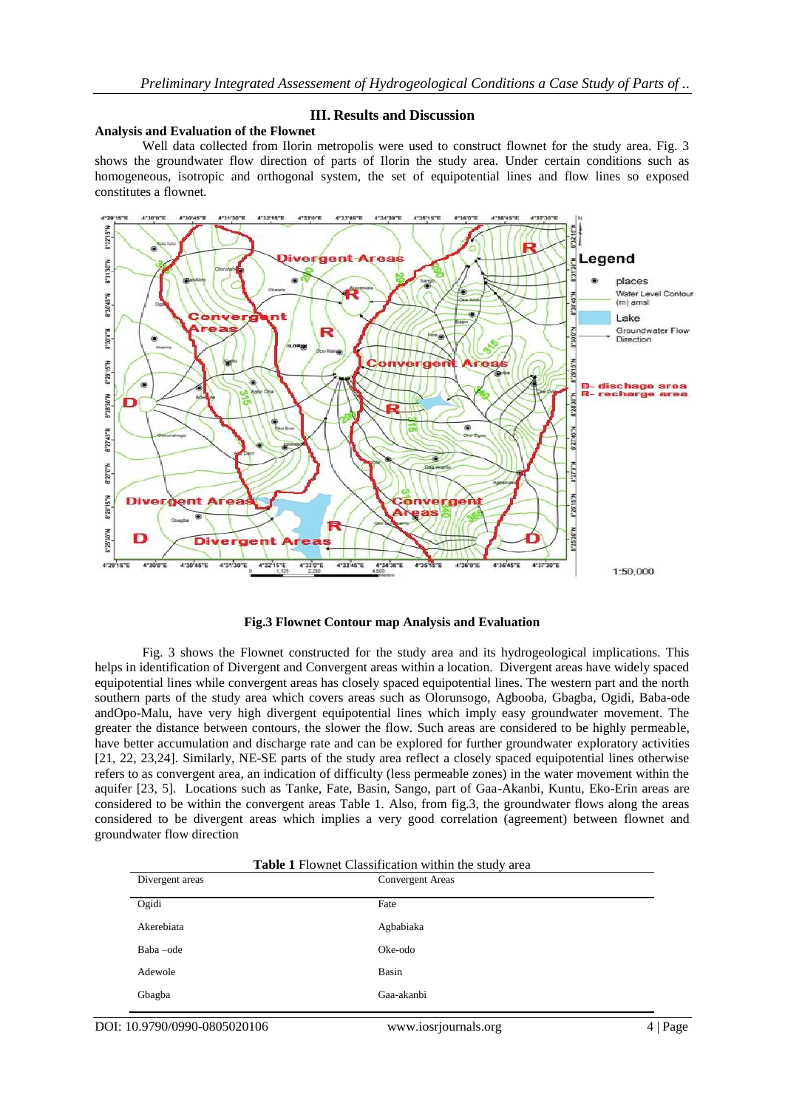## **III. Results and Discussion**

#### **Analysis and Evaluation of the Flownet**

Well data collected from Ilorin metropolis were used to construct flownet for the study area. Fig. 3 shows the groundwater flow direction of parts of Ilorin the study area. Under certain conditions such as homogeneous, isotropic and orthogonal system, the set of equipotential lines and flow lines so exposed constitutes a flownet*.*



#### **Fig.3 Flownet Contour map Analysis and Evaluation**

Fig. 3 shows the Flownet constructed for the study area and its hydrogeological implications. This helps in identification of Divergent and Convergent areas within a location. Divergent areas have widely spaced equipotential lines while convergent areas has closely spaced equipotential lines. The western part and the north southern parts of the study area which covers areas such as Olorunsogo, Agbooba, Gbagba, Ogidi, Baba-ode andOpo-Malu, have very high divergent equipotential lines which imply easy groundwater movement. The greater the distance between contours, the slower the flow. Such areas are considered to be highly permeable, have better accumulation and discharge rate and can be explored for further groundwater exploratory activities [21, 22, 23,24]. Similarly, NE-SE parts of the study area reflect a closely spaced equipotential lines otherwise refers to as convergent area, an indication of difficulty (less permeable zones) in the water movement within the aquifer [23, 5]. Locations such as Tanke, Fate, Basin, Sango, part of Gaa-Akanbi, Kuntu, Eko-Erin areas are considered to be within the convergent areas Table 1. Also, from fig.3, the groundwater flows along the areas considered to be divergent areas which implies a very good correlation (agreement) between flownet and groundwater flow direction

| Table 1 Flownet Classification within the study area |  |  |
|------------------------------------------------------|--|--|
|------------------------------------------------------|--|--|

| Divergent areas | Convergent Areas |
|-----------------|------------------|
| Ogidi           | Fate             |
| Akerebiata      | Agbabiaka        |
| Baba-ode        | Oke-odo          |
| Adewole         | Basin            |
| Gbagba          | Gaa-akanbi       |

DOI: 10.9790/0990-0805020106 www.iosrjournals.org 4 | Page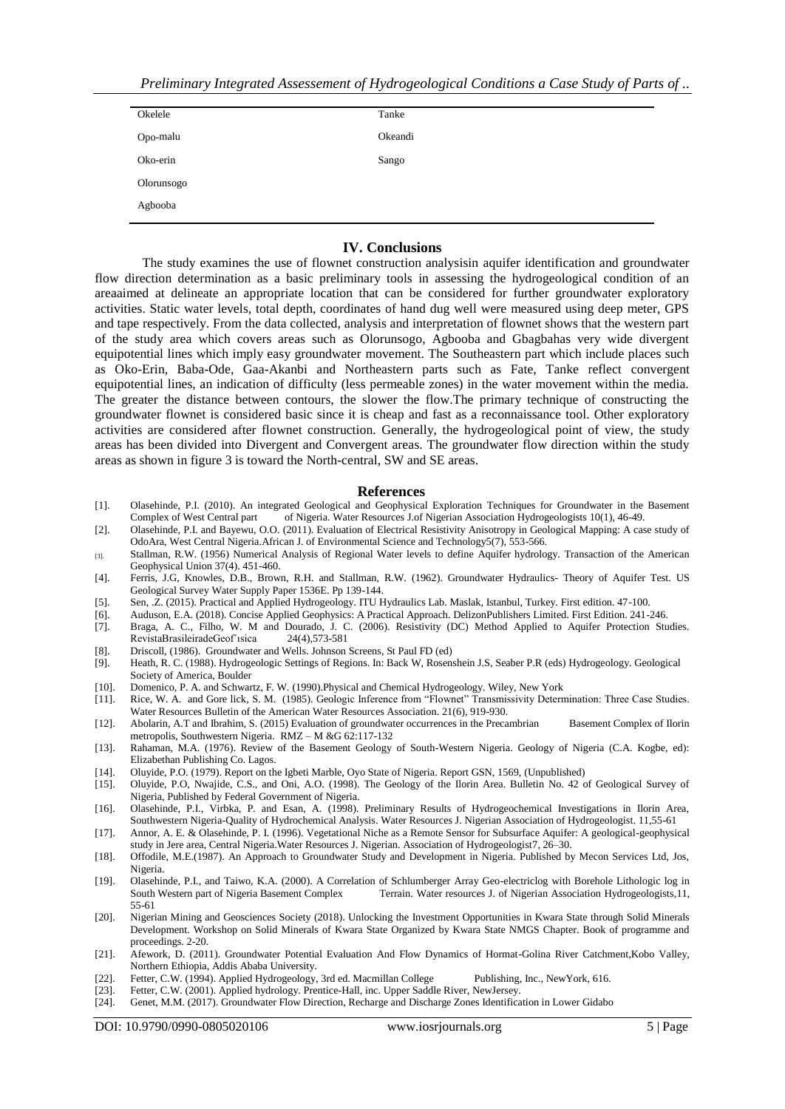| Okelele    | Tanke   |
|------------|---------|
| Opo-malu   | Okeandi |
| Oko-erin   | Sango   |
| Olorunsogo |         |
| Agbooba    |         |

### **IV. Conclusions**

The study examines the use of flownet construction analysisin aquifer identification and groundwater flow direction determination as a basic preliminary tools in assessing the hydrogeological condition of an areaaimed at delineate an appropriate location that can be considered for further groundwater exploratory activities. Static water levels, total depth, coordinates of hand dug well were measured using deep meter, GPS and tape respectively. From the data collected, analysis and interpretation of flownet shows that the western part of the study area which covers areas such as Olorunsogo, Agbooba and Gbagbahas very wide divergent equipotential lines which imply easy groundwater movement. The Southeastern part which include places such as Oko-Erin, Baba-Ode, Gaa-Akanbi and Northeastern parts such as Fate, Tanke reflect convergent equipotential lines, an indication of difficulty (less permeable zones) in the water movement within the media. The greater the distance between contours, the slower the flow.The primary technique of constructing the groundwater flownet is considered basic since it is cheap and fast as a reconnaissance tool. Other exploratory activities are considered after flownet construction. Generally, the hydrogeological point of view, the study areas has been divided into Divergent and Convergent areas. The groundwater flow direction within the study areas as shown in figure 3 is toward the North-central, SW and SE areas.

#### **References**

- [1]. Olasehinde, P.I. (2010). An integrated Geological and Geophysical Exploration Techniques for Groundwater in the Basement Complex of West Central part of Nigeria. Water Resources J.of Nigerian Association Hydrogeologists 10(1), 46-49.
- [2]. Olasehinde, P.I. and Bayewu, O.O. (2011). Evaluation of Electrical Resistivity Anisotropy in Geological Mapping: A case study of OdoAra, West Central Nigeria.African J. of Environmental Science and Technology5(7), 553-566.
- [3]. Stallman, R.W. (1956) Numerical Analysis of Regional Water levels to define Aquifer hydrology. Transaction of the American Geophysical Union 37(4). 451-460.
- [4]. Ferris, J.G, Knowles, D.B., Brown, R.H. and Stallman, R.W. (1962). Groundwater Hydraulics- Theory of Aquifer Test. US Geological Survey Water Supply Paper 1536E. Pp 139-144.
- [5]. Sen, .Z. (2015). Practical and Applied Hydrogeology. ITU Hydraulics Lab. Maslak, Istanbul, Turkey. First edition. 47-100.
- [6]. Auduson, E.A. (2018). Concise Applied Geophysics: A Practical Approach. DelizonPublishers Limited. First Edition. 241-246.
- [7]. Braga, A. C., Filho, W. M and Dourado, J. C. (2006). Resistivity (DC) Method Applied to Aquifer Protection Studies. RevistaBrasileiradeGeof'ısica
- [8]. Driscoll, (1986). Groundwater and Wells. Johnson Screens, St Paul FD (ed) [9]. Heath, R. C. (1988). Hydrogeologic Settings of Regions. In: Back W, Rosen
- Heath, R. C. (1988). Hydrogeologic Settings of Regions. In: Back W, Rosenshein J.S, Seaber P.R (eds) Hydrogeology. Geological Society of America, Boulder
- [10]. Domenico, P. A. and Schwartz, F. W. (1990).Physical and Chemical Hydrogeology. Wiley, New York
- [11]. Rice, W. A. and Gore lick, S. M. (1985). Geologic Inference from "Flownet" Transmissivity Determination: Three Case Studies. Water Resources Bulletin of the American Water Resources Association. 21(6), 919-930.
- [12]. Abolarin, A.T and Ibrahim, S. (2015) Evaluation of groundwater occurrences in the Precambrian Basement Complex of Ilorin metropolis, Southwestern Nigeria. RMZ – M &G 62:117-132
- [13]. Rahaman, M.A. (1976). Review of the Basement Geology of South-Western Nigeria. Geology of Nigeria (C.A. Kogbe, ed): Elizabethan Publishing Co. Lagos.
- [14]. Oluyide, P.O. (1979). Report on the Igbeti Marble, Oyo State of Nigeria. Report GSN, 1569, (Unpublished)
- [15]. Oluyide, P.O, Nwajide, C.S., and Oni, A.O. (1998). The Geology of the Ilorin Area. Bulletin No. 42 of Geological Survey of Nigeria, Published by Federal Government of Nigeria.
- [16]. Olasehinde, P.I., Virbka, P. and Esan, A. (1998). Preliminary Results of Hydrogeochemical Investigations in Ilorin Area, Southwestern Nigeria-Quality of Hydrochemical Analysis. Water Resources J. Nigerian Association of Hydrogeologist. 11,55-61
- [17]. Annor, A. E. & Olasehinde, P. I. (1996). Vegetational Niche as a Remote Sensor for Subsurface Aquifer: A geological-geophysical study in Jere area, Central Nigeria.Water Resources J. Nigerian. Association of Hydrogeologist7, 26–30.
- [18]. Offodile, M.E.(1987). An Approach to Groundwater Study and Development in Nigeria. Published by Mecon Services Ltd, Jos, Nigeria.
- [19]. Olasehinde, P.I., and Taiwo, K.A. (2000). A Correlation of Schlumberger Array Geo-electriclog with Borehole Lithologic log in South Western part of Nigeria Basement Complex Terrain. Water resources J. of Nigerian Association Hydrogeologists*,*11, 55-61
- [20]. Nigerian Mining and Geosciences Society (2018). Unlocking the Investment Opportunities in Kwara State through Solid Minerals Development. Workshop on Solid Minerals of Kwara State Organized by Kwara State NMGS Chapter. Book of programme and proceedings. 2-20.
- [21]. Afework, D. (2011). Groundwater Potential Evaluation And Flow Dynamics of Hormat-Golina River Catchment,Kobo Valley, Northern Ethiopia, Addis Ababa University.
- [22]. Fetter, C.W. (1994). Applied Hydrogeology, 3rd ed. Macmillan College Publishing, Inc., NewYork, 616.<br>[23]. Fetter, C.W. (2001). Applied hydrology. Prentice-Hall, inc. Upper Saddle River. NewJersey.
- [23]. Fetter, C.W. (2001). Applied hydrology. Prentice-Hall, inc. Upper Saddle River, NewJersey.<br>[24]. Genet, M.M. (2017). Groundwater Flow Direction, Recharge and Discharge Zones Identifica
- [24]. Genet, M.M. (2017). Groundwater Flow Direction, Recharge and Discharge Zones Identification in Lower Gidabo